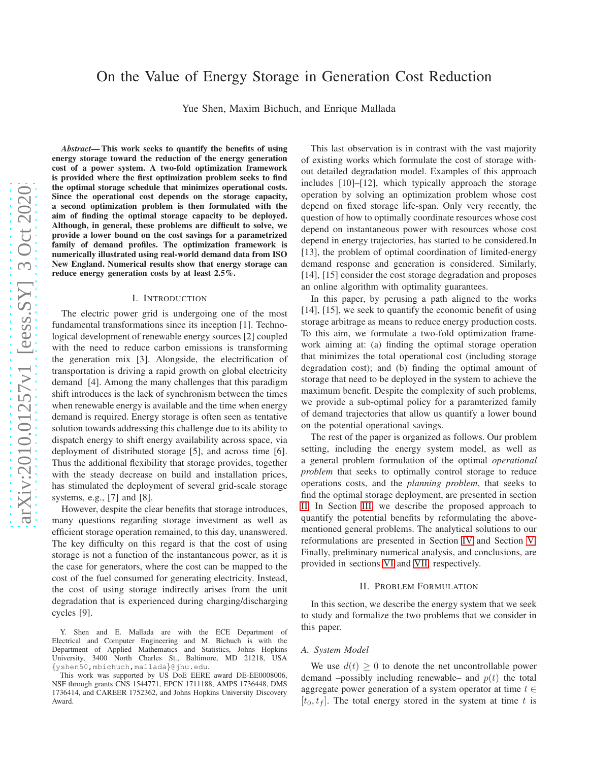# On the Value of Energy Storage in Generation Cost Reduction

Yue Shen, Maxim Bichuch, and Enrique Mallada

*Abstract*— This work seeks to quantify the benefits of using energy storage toward the reduction of the energy generation cost of a power system. A two-fold optimization framework is provided where the first optimization problem seeks to find the optimal storage schedule that minimizes operational costs. Since the operational cost depends on the storage capacity, a second optimization problem is then formulated with the aim of finding the optimal storage capacity to be deployed. Although, in general, these problems are difficult to solve, we provide a lower bound on the cost savings for a parametrized family of demand profiles. The optimization framework is numerically illustrated using real-world demand data from ISO New England. Numerical results show that energy storage can reduce energy generation costs by at least 2.5%.

#### I. INTRODUCTION

The electric power grid is undergoing one of the most fundamental transformations since its inception [1]. Technological development of renewable energy sources [2] coupled with the need to reduce carbon emissions is transforming the generation mix [3]. Alongside, the electrification of transportation is driving a rapid growth on global electricity demand [4]. Among the many challenges that this paradigm shift introduces is the lack of synchronism between the times when renewable energy is available and the time when energy demand is required. Energy storage is often seen as tentative solution towards addressing this challenge due to its ability to dispatch energy to shift energy availability across space, via deployment of distributed storage [5], and across time [6]. Thus the additional flexibility that storage provides, together with the steady decrease on build and installation prices, has stimulated the deployment of several grid-scale storage systems, e.g., [7] and [8].

However, despite the clear benefits that storage introduces, many questions regarding storage investment as well as efficient storage operation remained, to this day, unanswered. The key difficulty on this regard is that the cost of using storage is not a function of the instantaneous power, as it is the case for generators, where the cost can be mapped to the cost of the fuel consumed for generating electricity. Instead, the cost of using storage indirectly arises from the unit degradation that is experienced during charging/discharging cycles [9].

This last observation is in contrast with the vast majority of existing works which formulate the cost of storage without detailed degradation model. Examples of this approach includes [10]–[12], which typically approach the storage operation by solving an optimization problem whose cost depend on fixed storage life-span. Only very recently, the question of how to optimally coordinate resources whose cost depend on instantaneous power with resources whose cost depend in energy trajectories, has started to be considered.In [13], the problem of optimal coordination of limited-energy demand response and generation is considered. Similarly, [14], [15] consider the cost storage degradation and proposes an online algorithm with optimality guarantees.

In this paper, by perusing a path aligned to the works [14], [15], we seek to quantify the economic benefit of using storage arbitrage as means to reduce energy production costs. To this aim, we formulate a two-fold optimization framework aiming at: (a) finding the optimal storage operation that minimizes the total operational cost (including storage degradation cost); and (b) finding the optimal amount of storage that need to be deployed in the system to achieve the maximum benefit. Despite the complexity of such problems, we provide a sub-optimal policy for a paramterized family of demand trajectories that allow us quantify a lower bound on the potential operational savings.

The rest of the paper is organized as follows. Our problem setting, including the energy system model, as well as a general problem formulation of the optimal *operational problem* that seeks to optimally control storage to reduce operations costs, and the *planning problem*, that seeks to find the optimal storage deployment, are presented in section [II.](#page-0-0) In Section [III,](#page-2-0) we describe the proposed approach to quantify the potential benefits by reformulating the abovementioned general problems. The analytical solutions to our reformulations are presented in Section [IV](#page-3-0) and Section [V.](#page-4-0) Finally, preliminary numerical analysis, and conclusions, are provided in sections [VI](#page-5-0) and [VII,](#page-6-0) respectively.

#### II. PROBLEM FORMULATION

<span id="page-0-0"></span>In this section, we describe the energy system that we seek to study and formalize the two problems that we consider in this paper.

#### *A. System Model*

We use  $d(t) \geq 0$  to denote the net uncontrollable power demand –possibly including renewable– and  $p(t)$  the total aggregate power generation of a system operator at time  $t \in$  $[t_0, t_f]$ . The total energy stored in the system at time t is

Y. Shen and E. Mallada are with the ECE Department of Electrical and Computer Engineering and M. Bichuch is with the Department of Applied Mathematics and Statistics, Johns Hopkins University, 3400 North Charles St., Baltimore, MD 21218, USA {yshen50,mbichuch,mallada}@jhu.edu.

This work was supported by US DoE EERE award DE-EE0008006, NSF through grants CNS 1544771, EPCN 1711188, AMPS 1736448, DMS 1736414, and CAREER 1752362, and Johns Hopkins University Discovery Award.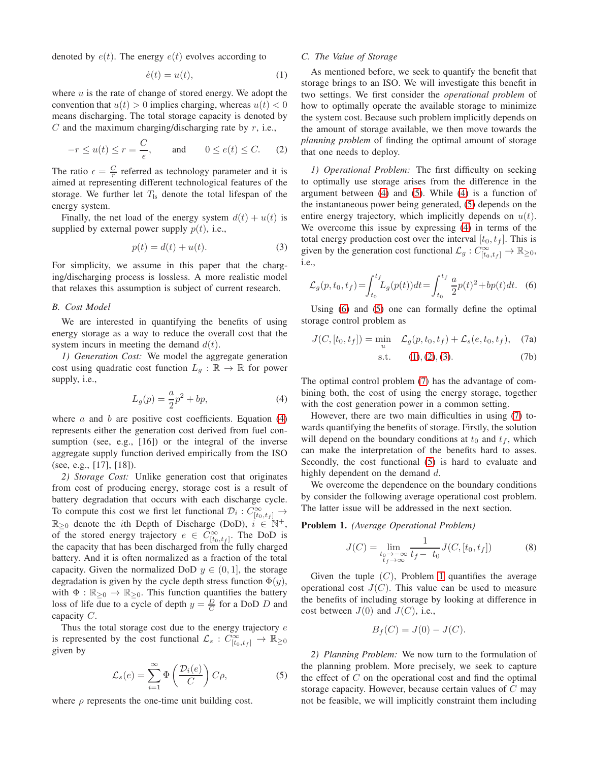denoted by  $e(t)$ . The energy  $e(t)$  evolves according to

<span id="page-1-3"></span>
$$
\dot{e}(t) = u(t),\tag{1}
$$

where  $u$  is the rate of change of stored energy. We adopt the convention that  $u(t) > 0$  implies charging, whereas  $u(t) < 0$ means discharging. The total storage capacity is denoted by  $C$  and the maximum charging/discharging rate by  $r$ , i.e.,

$$
-r \le u(t) \le r = \frac{C}{\epsilon}, \quad \text{and} \quad 0 \le e(t) \le C. \quad (2)
$$

The ratio  $\epsilon = \frac{C}{r}$  referred as technology parameter and it is aimed at representing different technological features of the storage. We further let  $T_{ls}$  denote the total lifespan of the energy system.

Finally, the net load of the energy system  $d(t) + u(t)$  is supplied by external power supply  $p(t)$ , i.e.,

<span id="page-1-5"></span>
$$
p(t) = d(t) + u(t).
$$
\n(3)

For simplicity, we assume in this paper that the charging/discharging process is lossless. A more realistic model that relaxes this assumption is subject of current research.

## *B. Cost Model*

We are interested in quantifying the benefits of using energy storage as a way to reduce the overall cost that the system incurs in meeting the demand  $d(t)$ .

*1) Generation Cost:* We model the aggregate generation cost using quadratic cost function  $L_q : \mathbb{R} \to \mathbb{R}$  for power supply, i.e.,

$$
L_g(p) = \frac{a}{2}p^2 + bp,
$$
\n<sup>(4)</sup>

where  $\alpha$  and  $\dot{b}$  are positive cost coefficients. Equation [\(4\)](#page-1-0) represents either the generation cost derived from fuel consumption (see, e.g., [16]) or the integral of the inverse aggregate supply function derived empirically from the ISO (see, e.g., [17], [18]).

*2) Storage Cost:* Unlike generation cost that originates from cost of producing energy, storage cost is a result of battery degradation that occurs with each discharge cycle. To compute this cost we first let functional  $\mathcal{D}_i$  :  $C^{\infty}_{[t_0,t_f]}$   $\rightarrow$  $\mathbb{R}_{\geq 0}$  denote the *i*th Depth of Discharge (DoD),  $i \in \mathbb{N}^+$ , of the stored energy trajectory  $e \in C^{\infty}_{[t_0,t_f]}$ . The DoD is the capacity that has been discharged from the fully charged battery. And it is often normalized as a fraction of the total capacity. Given the normalized DoD  $y \in (0, 1]$ , the storage degradation is given by the cycle depth stress function  $\Phi(y)$ , with  $\Phi : \mathbb{R}_{\geq 0} \to \mathbb{R}_{\geq 0}$ . This function quantifies the battery loss of life due to a cycle of depth  $y = \frac{D}{C}$  for a DoD D and capacity C.

Thus the total storage cost due to the energy trajectory  $e$ is represented by the cost functional  $\mathcal{L}_s : C^{\infty}_{[t_0,t_f]} \to \mathbb{R}_{\geq 0}$ given by

$$
\mathcal{L}_s(e) = \sum_{i=1}^{\infty} \Phi\left(\frac{\mathcal{D}_i(e)}{C}\right) C \rho, \tag{5}
$$

where  $\rho$  represents the one-time unit building cost.

# *C. The Value of Storage*

As mentioned before, we seek to quantify the benefit that storage brings to an ISO. We will investigate this benefit in two settings. We first consider the *operational problem* of how to optimally operate the available storage to minimize the system cost. Because such problem implicitly depends on the amount of storage available, we then move towards the *planning problem* of finding the optimal amount of storage that one needs to deploy.

<span id="page-1-4"></span>*1) Operational Problem:* The first difficulty on seeking to optimally use storage arises from the difference in the argument between [\(4\)](#page-1-0) and [\(5\)](#page-1-1). While [\(4\)](#page-1-0) is a function of the instantaneous power being generated, [\(5\)](#page-1-1) depends on the entire energy trajectory, which implicitly depends on  $u(t)$ . We overcome this issue by expressing [\(4\)](#page-1-0) in terms of the total energy production cost over the interval  $[t_0, t_f]$ . This is given by the generation cost functional  $\mathcal{L}_g : C^{\infty}_{[t_0,t_f]} \to \mathbb{R}_{\geq 0}$ , i.e.,

$$
\mathcal{L}_g(p, t_0, t_f) = \int_{t_0}^{t_f} L_g(p(t))dt = \int_{t_0}^{t_f} \frac{a}{2} p(t)^2 + bp(t)dt.
$$
 (6)

Using [\(6\)](#page-1-2) and [\(5\)](#page-1-1) one can formally define the optimal storage control problem as

$$
J(C, [t_0, t_f]) = \min_u \quad \mathcal{L}_g(p, t_0, t_f) + \mathcal{L}_s(e, t_0, t_f), \quad (7a)
$$

<span id="page-1-6"></span><span id="page-1-2"></span>
$$
s.t. \t(1), (2), (3). \t(7b)
$$

<span id="page-1-0"></span>The optimal control problem [\(7\)](#page-1-6) has the advantage of combining both, the cost of using the energy storage, together with the cost generation power in a common setting.

However, there are two main difficulties in using [\(7\)](#page-1-6) towards quantifying the benefits of storage. Firstly, the solution will depend on the boundary conditions at  $t_0$  and  $t_f$ , which can make the interpretation of the benefits hard to asses. Secondly, the cost functional [\(5\)](#page-1-1) is hard to evaluate and highly dependent on the demand d.

We overcome the dependence on the boundary conditions by consider the following average operational cost problem. The latter issue will be addressed in the next section.

<span id="page-1-7"></span>Problem 1. *(Average Operational Problem)*

$$
J(C) = \lim_{\substack{t_0 \to -\infty \\ t_f \to \infty}} \frac{1}{t_f - t_0} J(C, [t_0, t_f])
$$
(8)

Given the tuple  $(C)$ , Problem [1](#page-1-7) quantifies the average operational cost  $J(C)$ . This value can be used to measure the benefits of including storage by looking at difference in cost between  $J(0)$  and  $J(C)$ , i.e.,

$$
B_f(C) = J(0) - J(C).
$$

<span id="page-1-1"></span>*2) Planning Problem:* We now turn to the formulation of the planning problem. More precisely, we seek to capture the effect of  $C$  on the operational cost and find the optimal storage capacity. However, because certain values of C may not be feasible, we will implicitly constraint them including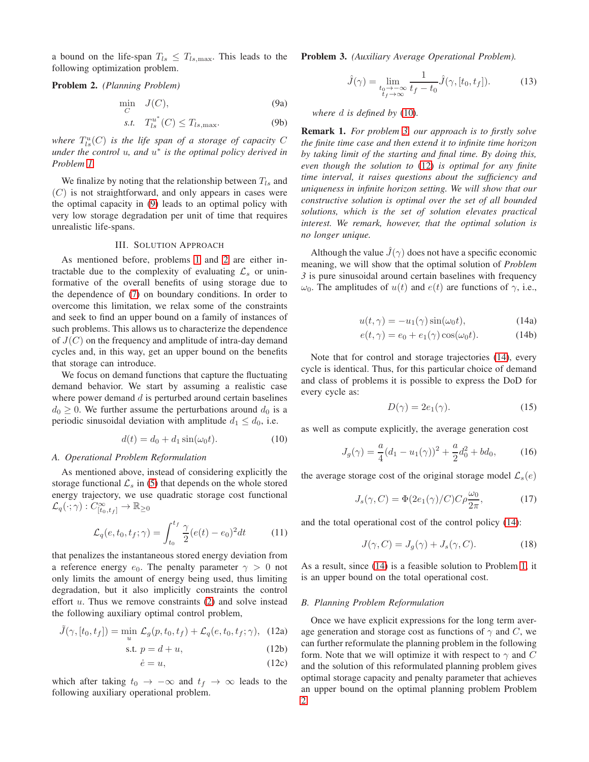a bound on the life-span  $T_{ls} \leq T_{ls, \text{max}}$ . This leads to the following optimization problem.

## <span id="page-2-2"></span>Problem 2. *(Planning Problem)*

<span id="page-2-1"></span>
$$
\min_{C} J(C),\tag{9a}
$$

$$
s.t. \quad T_{ls}^{u^*}(C) \le T_{ls, \max}.\tag{9b}
$$

where  $T_{ls}^{u}(C)$  *is the life span of a storage of capacity*  $C$ *under the control* u*, and* u ∗ *is the optimal policy derived in Problem [1.](#page-1-7)*

We finalize by noting that the relationship between  $T_{ls}$  and  $(C)$  is not straightforward, and only appears in cases were the optimal capacity in [\(9\)](#page-2-1) leads to an optimal policy with very low storage degradation per unit of time that requires unrealistic life-spans.

#### III. SOLUTION APPROACH

<span id="page-2-0"></span>As mentioned before, problems [1](#page-1-7) and [2](#page-2-2) are either intractable due to the complexity of evaluating  $\mathcal{L}_s$  or uninformative of the overall benefits of using storage due to the dependence of [\(7\)](#page-1-6) on boundary conditions. In order to overcome this limitation, we relax some of the constraints and seek to find an upper bound on a family of instances of such problems. This allows us to characterize the dependence of  $J(C)$  on the frequency and amplitude of intra-day demand cycles and, in this way, get an upper bound on the benefits that storage can introduce.

We focus on demand functions that capture the fluctuating demand behavior. We start by assuming a realistic case where power demand  $d$  is perturbed around certain baselines  $d_0 \geq 0$ . We further assume the perturbations around  $d_0$  is a periodic sinusoidal deviation with amplitude  $d_1 \leq d_0$ , i.e.

$$
d(t) = d_0 + d_1 \sin(\omega_0 t). \tag{10}
$$

### *A. Operational Problem Reformulation*

As mentioned above, instead of considering explicitly the storage functional  $\mathcal{L}_s$  in [\(5\)](#page-1-1) that depends on the whole stored energy trajectory, we use quadratic storage cost functional  $\mathcal{L}_q(\cdot; \gamma) : C^{\infty}_{[t_0, t_f]} \to \mathbb{R}_{\geq 0}$ 

$$
\mathcal{L}_q(e, t_0, t_f; \gamma) = \int_{t_0}^{t_f} \frac{\gamma}{2} (e(t) - e_0)^2 dt \tag{11}
$$

that penalizes the instantaneous stored energy deviation from a reference energy  $e_0$ . The penalty parameter  $\gamma > 0$  not only limits the amount of energy being used, thus limiting degradation, but it also implicitly constraints the control effort  $u$ . Thus we remove constraints  $(2)$  and solve instead the following auxiliary optimal control problem,

$$
\tilde{J}(\gamma, [t_0, t_f]) = \min_u \mathcal{L}_g(p, t_0, t_f) + \mathcal{L}_q(e, t_0, t_f; \gamma), \quad (12a)
$$

$$
s.t. p = d + u,
$$
\n<sup>(12b)</sup>

$$
\dot{e} = u,\tag{12c}
$$

which after taking  $t_0 \rightarrow -\infty$  and  $t_f \rightarrow \infty$  leads to the following auxiliary operational problem.

<span id="page-2-4"></span>Problem 3. *(Auxiliary Average Operational Problem).*

<span id="page-2-9"></span>
$$
\hat{J}(\gamma) = \lim_{\substack{t_0 \to -\infty \\ t_f \to \infty}} \frac{1}{t_f - t_0} \hat{J}(\gamma, [t_0, t_f]).
$$
 (13)

*where* d *is defined by* [\(10\)](#page-2-3)*.*

Remark 1. *For problem [3,](#page-2-4) our approach is to firstly solve the finite time case and then extend it to infinite time horizon by taking limit of the starting and final time. By doing this, even though the solution to* [\(12\)](#page-2-5) *is optimal for any finite time interval, it raises questions about the sufficiency and uniqueness in infinite horizon setting. We will show that our constructive solution is optimal over the set of all bounded solutions, which is the set of solution elevates practical interest. We remark, however, that the optimal solution is no longer unique.*

<span id="page-2-6"></span>Although the value  $\hat{J}(\gamma)$  does not have a specific economic meaning, we will show that the optimal solution of *Problem 3* is pure sinusoidal around certain baselines with frequency  $ω_0$ . The amplitudes of  $u(t)$  and  $e(t)$  are functions of  $γ$ , i.e.,

$$
u(t,\gamma) = -u_1(\gamma)\sin(\omega_0 t),\tag{14a}
$$

$$
e(t, \gamma) = e_0 + e_1(\gamma) \cos(\omega_0 t). \tag{14b}
$$

Note that for control and storage trajectories [\(14\)](#page-2-6), every cycle is identical. Thus, for this particular choice of demand and class of problems it is possible to express the DoD for every cycle as:

<span id="page-2-14"></span><span id="page-2-13"></span><span id="page-2-7"></span>
$$
D(\gamma) = 2e_1(\gamma). \tag{15}
$$

<span id="page-2-3"></span>as well as compute explicitly, the average generation cost

$$
J_g(\gamma) = \frac{a}{4}(d_1 - u_1(\gamma))^2 + \frac{a}{2}d_0^2 + bd_0,
$$
 (16)

the average storage cost of the original storage model  $\mathcal{L}_s(e)$ 

$$
J_s(\gamma, C) = \Phi(2e_1(\gamma)/C)C\rho \frac{\omega_0}{2\pi},\qquad (17)
$$

and the total operational cost of the control policy [\(14\)](#page-2-6):

<span id="page-2-8"></span>
$$
J(\gamma, C) = J_g(\gamma) + J_s(\gamma, C). \tag{18}
$$

As a result, since [\(14\)](#page-2-6) is a feasible solution to Problem [1,](#page-1-7) it is an upper bound on the total operational cost.

#### *B. Planning Problem Reformulation*

<span id="page-2-12"></span><span id="page-2-11"></span><span id="page-2-10"></span><span id="page-2-5"></span>Once we have explicit expressions for the long term average generation and storage cost as functions of  $\gamma$  and C, we can further reformulate the planning problem in the following form. Note that we will optimize it with respect to  $\gamma$  and C and the solution of this reformulated planning problem gives optimal storage capacity and penalty parameter that achieves an upper bound on the optimal planning problem Problem [2.](#page-2-2)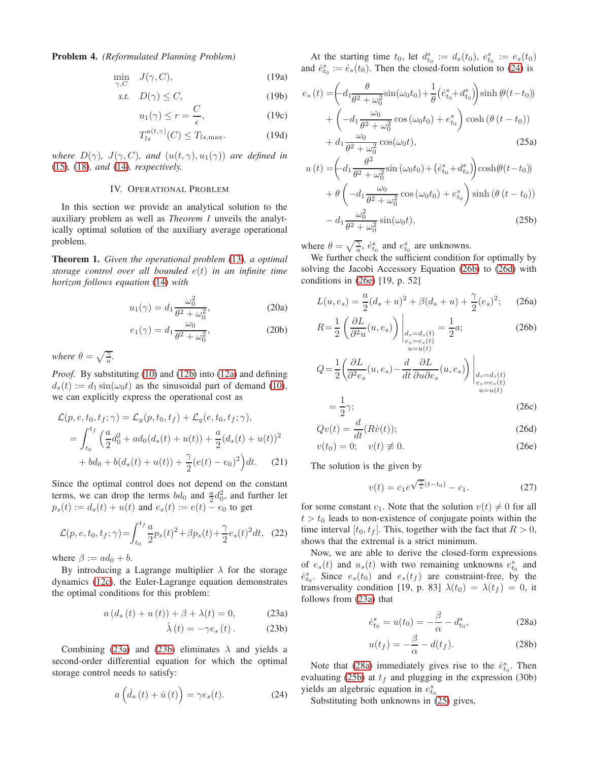Problem 4. *(Reformulated Planning Problem)*

$$
\min_{\gamma, C} \quad J(\gamma, C), \tag{19a}
$$

$$
s.t. \quad D(\gamma) \le C,\tag{19b}
$$

$$
u_1(\gamma) \le r = \frac{C}{\epsilon},\tag{19c}
$$

$$
T_{ls}^{u(t,\gamma)}(C) \le T_{ls,\text{max}}.\tag{19d}
$$

<span id="page-3-0"></span>*where*  $D(\gamma)$ *,*  $J(\gamma, C)$ *, and*  $(u(t, \gamma), u_1(\gamma))$  *are defined in* [\(15\)](#page-2-7)*,* [\(18\)](#page-2-8)*, and* [\(14\)](#page-2-6)*, respectively.*

## IV. OPERATIONAL PROBLEM

In this section we provide an analytical solution to the auxiliary problem as well as *Theorem 1* unveils the analytically optimal solution of the auxiliary average operational problem.

<span id="page-3-11"></span>Theorem 1. *Given the operational problem* [\(13\)](#page-2-9)*, a optimal storage control over all bounded* e(t) *in an infinite time horizon follows equation* [\(14\)](#page-2-6) *with*

$$
u_1(\gamma) = d_1 \frac{\omega_0^2}{\theta^2 + \omega_0^2},\tag{20a}
$$

$$
e_1(\gamma) = d_1 \frac{\omega_0}{\theta^2 + \omega_0^2},\tag{20b}
$$

*where*  $\theta = \sqrt{\frac{\gamma}{a}}$ *.* 

*Proof.* By substituting [\(10\)](#page-2-3) and [\(12b\)](#page-2-10) into [\(12a\)](#page-2-11) and defining  $d_s(t) := d_1 \sin(\omega_0 t)$  as the sinusoidal part of demand [\(10\)](#page-2-3), we can explicitly express the operational cost as

$$
\mathcal{L}(p, e, t_0, t_f; \gamma) = \mathcal{L}_g(p, t_0, t_f) + \mathcal{L}_q(e, t_0, t_f; \gamma),
$$
  
= 
$$
\int_{t_0}^{t_f} \left( \frac{a}{2} d_0^2 + ad_0(d_s(t) + u(t)) + \frac{a}{2} (d_s(t) + u(t))^2 + bd_0 + b(d_s(t) + u(t)) + \frac{\gamma}{2} (e(t) - e_0)^2 \right) dt.
$$
 (21)

Since the optimal control does not depend on the constant terms, we can drop the terms  $bd_0$  and  $\frac{a}{2}d_0^2$ , and further let  $p_s(t) := d_s(t) + u(t)$  and  $e_s(t) := e(t) - e_0$  to get

$$
\mathcal{L}(p, e, t_0, t_f; \gamma) = \int_{t_0}^{t_f} \frac{a}{2} p_s(t)^2 + \beta p_s(t) + \frac{\gamma}{2} e_s(t)^2 dt, \quad (22)
$$

where  $\beta := ad_0 + b$ .

By introducing a Lagrange multiplier  $\lambda$  for the storage dynamics [\(12c\)](#page-2-12), the Euler-Lagrange equation demonstrates the optimal conditions for this problem:

$$
a\left(d_s\left(t\right) + u\left(t\right)\right) + \beta + \lambda(t) = 0,\tag{23a}
$$

$$
\dot{\lambda}(t) = -\gamma e_s(t). \qquad (23b)
$$

Combining [\(23a\)](#page-3-1) and [\(23b\)](#page-3-2) eliminates  $\lambda$  and yields a second-order differential equation for which the optimal storage control needs to satisfy:

$$
a\left(\dot{d}_s\left(t\right) + \dot{u}\left(t\right)\right) = \gamma e_s(t). \tag{24}
$$

<span id="page-3-12"></span><span id="page-3-9"></span>At the starting time  $t_0$ , let  $d_{t_0}^s := d_s(t_0)$ ,  $e_{t_0}^s := e_s(t_0)$ and  $\dot{e}_{t_0}^s := \dot{e}_s(t_0)$ . Then the closed-form solution to [\(24\)](#page-3-3) is

<span id="page-3-15"></span><span id="page-3-13"></span>
$$
e_s(t) = \left( d_1 \frac{\theta}{\theta^2 + \omega_0^2} \sin(\omega_0 t_0) + \frac{1}{\theta} \left( \dot{e}_{t_0}^s + d_{t_0}^s \right) \sinh(\theta (t - t_0)) + \left( -d_1 \frac{\omega_0}{\theta^2 + \omega_0^2} \cos(\omega_0 t_0) + e_{t_0}^s \right) \cosh(\theta (t - t_0)) + d_1 \frac{\omega_0}{\theta^2 + \omega_0^2} \cos(\omega_0 t),
$$
\n(25a)

<span id="page-3-14"></span>
$$
u(t) = \left( d_1 \frac{\theta^2}{\theta^2 + \omega_0^2} \sin(\omega_0 t_0) + (\dot{e}_{t_0}^s + d_{t_0}^s) \right) \cosh(\theta (t - t_0))
$$

$$
+ \theta \left( -d_1 \frac{\omega_0}{\theta^2 + \omega_0^2} \cos(\omega_0 t_0) + e_{t_0}^s \right) \sinh(\theta (t - t_0))
$$

$$
- d_1 \frac{\omega_0^2}{\theta^2 + \omega_0^2} \sin(\omega_0 t), \tag{25b}
$$

where  $\theta = \sqrt{\frac{\gamma}{a}}, \dot{e}_{t_0}^s$  and  $e_{t_0}^s$  are unknowns.

We further check the sufficient condition for optimally by solving the Jacobi Accessory Equation [\(26b\)](#page-3-4) to [\(26d\)](#page-3-5) with conditions in [\(26e\)](#page-3-6) [19, p. 52]

<span id="page-3-8"></span>
$$
L(u, e_s) = \frac{a}{2}(d_s + u)^2 + \beta(d_s + u) + \frac{\gamma}{2}(e_s)^2; \quad (26a)
$$

<span id="page-3-16"></span><span id="page-3-4"></span>
$$
R = \frac{1}{2} \left( \frac{\partial L}{\partial^2 u}(u, e_s) \right) \bigg|_{\substack{d_s = d_s(t) \\ e_s = e_s(t) \\ u = u(t)}} = \frac{1}{2} a; \tag{26b}
$$

$$
Q = \frac{1}{2} \left( \frac{\partial L}{\partial^2 e_s} (u, e_s) - \frac{d}{dt} \frac{\partial L}{\partial u \partial e_s} (u, e_s) \right) \Bigg|_{\substack{d_s = d_s(t) \\ e_s = e_s(t) \\ u = u(t)}} \Bigg|
$$

$$
=\frac{1}{2}\gamma;\tag{26c}
$$

$$
Qv(t) = \frac{d}{dt}(R\dot{v}(t));
$$
\n(26d)

$$
v(t_0) = 0; \quad v(t) \neq 0. \tag{26e}
$$

The solution is the given by

<span id="page-3-6"></span><span id="page-3-5"></span>
$$
v(t) = c_1 e^{\sqrt{\frac{\gamma}{a}}(t - t_0)} - c_1.
$$
 (27)

for some constant  $c_1$ . Note that the solution  $v(t) \neq 0$  for all  $t > t_0$  leads to non-existence of conjugate points within the time interval  $[t_0, t_f]$ . This, together with the fact that  $R > 0$ , shows that the extremal is a strict minimum.

Now, we are able to derive the closed-form expressions of  $e_s(t)$  and  $u_s(t)$  with two remaining unknowns  $e_{t_0}^s$  and  $\dot{e}_{t_0}^s$ . Since  $e_s(t_0)$  and  $e_s(t_f)$  are constraint-free, by the transversality condition [19, p. 83]  $\lambda(t_0) = \lambda(t_f) = 0$ , it follows from [\(23a\)](#page-3-1) that

<span id="page-3-7"></span>
$$
\dot{e}_{t_0}^s = u(t_0) = -\frac{\beta}{\alpha} - d_{t_0}^s,\tag{28a}
$$

$$
u(t_f) = -\frac{\beta}{\alpha} - d(t_f). \tag{28b}
$$

<span id="page-3-3"></span><span id="page-3-2"></span><span id="page-3-1"></span>Note that [\(28a\)](#page-3-7) immediately gives rise to the  $\dot{e}_{t_0}^s$ . Then evaluating [\(25b\)](#page-3-8) at  $t_f$  and plugging in the expression (30b) yields an algebraic equation in  $e_{t_0}^s$ 

<span id="page-3-10"></span>Substituting both unknowns in [\(25\)](#page-3-9) gives,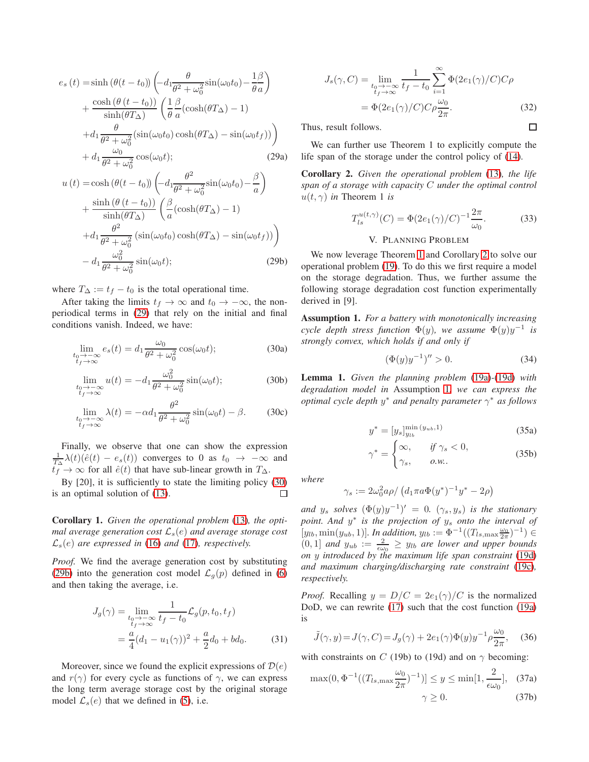$$
e_s(t) = \sinh(\theta(t - t_0)) \left( -d_1 \frac{\theta}{\theta^2 + \omega_0^2} \sin(\omega_0 t_0) - \frac{1\beta}{\theta a} \right)
$$

$$
+ \frac{\cosh(\theta(t - t_0))}{\sinh(\theta T_\Delta)} \left( \frac{1}{\theta} \frac{\beta}{a} (\cosh(\theta T_\Delta) - 1) + d_1 \frac{\theta}{\theta^2 + \omega_0^2} (\sin(\omega_0 t_0) \cosh(\theta T_\Delta) - \sin(\omega_0 t_f)) \right)
$$

$$
+ d_1 \frac{\omega_0}{\theta^2 + \omega_0^2} \cos(\omega_0 t); \tag{29a}
$$

$$
u(t) = \cosh(\theta(t - t_0)) \left( -d_1 \frac{\theta^2}{\theta^2 + \omega_0^2} \sin(\omega_0 t_0) - \frac{\beta}{a} \right)
$$
  
+ 
$$
\frac{\sinh(\theta(t - t_0))}{\sinh(\theta T_\Delta)} \left( \frac{\beta}{a} (\cosh(\theta T_\Delta) - 1) \right)
$$
  
+ 
$$
d_1 \frac{\theta^2}{\theta^2 + \omega_0^2} (\sin(\omega_0 t_0) \cosh(\theta T_\Delta) - \sin(\omega_0 t_f)) \right)
$$
  
- 
$$
d_1 \frac{\omega_0^2}{\theta^2 + \omega_0^2} \sin(\omega_0 t);
$$
 (29b)

where  $T_{\Delta} := t_f - t_0$  is the total operational time.

After taking the limits  $t_f \to \infty$  and  $t_0 \to -\infty$ , the nonperiodical terms in [\(29\)](#page-3-10) that rely on the initial and final conditions vanish. Indeed, we have:

$$
\lim_{\substack{t_0 \to -\infty \\ t_f \to \infty}} e_s(t) = d_1 \frac{\omega_0}{\theta^2 + \omega_0^2} \cos(\omega_0 t);
$$
\n(30a)

$$
\lim_{\substack{t_0 \to -\infty \\ t_f \to \infty}} u(t) = -d_1 \frac{\omega_0^2}{\theta^2 + \omega_0^2} \sin(\omega_0 t); \tag{30b}
$$

$$
\lim_{\substack{t_0 \to -\infty \\ t_f \to \infty}} \lambda(t) = -\alpha d_1 \frac{\theta^2}{\theta^2 + \omega_0^2} \sin(\omega_0 t) - \beta.
$$
 (30c)

Finally, we observe that one can show the expression  $\frac{1}{T_{\Delta}}\lambda(t)(\hat{e}(t) - e_s(t))$  converges to 0 as  $t_0 \rightarrow -\infty$  and  $t_f^- \to \infty$  for all  $\hat{e}(t)$  that have sub-linear growth in  $T_{\Delta}$ .

By [20], it is sufficiently to state the limiting policy [\(30\)](#page-4-1) is an optimal solution of [\(13\)](#page-2-9).  $\Box$ 

Corollary 1. *Given the operational problem* [\(13\)](#page-2-9)*, the optimal average generation cost*  $\mathcal{L}_s(e)$  *and average storage cost*  $\mathcal{L}_s(e)$  are expressed in [\(16\)](#page-2-13) and [\(17\)](#page-2-14), respectively.

*Proof.* We find the average generation cost by substituting [\(29b\)](#page-4-2) into the generation cost model  $\mathcal{L}_q(p)$  defined in [\(6\)](#page-1-2) and then taking the average, i.e.

$$
J_g(\gamma) = \lim_{\substack{t_0 \to -\infty \\ t_f \to \infty}} \frac{1}{t_f - t_0} \mathcal{L}_g(p, t_0, t_f)
$$
  
=  $\frac{a}{4} (d_1 - u_1(\gamma))^2 + \frac{a}{2} d_0 + b d_0.$  (31)

Moreover, since we found the explicit expressions of  $\mathcal{D}(e)$ and  $r(\gamma)$  for every cycle as functions of  $\gamma$ , we can express the long term average storage cost by the original storage model  $\mathcal{L}_s(e)$  that we defined in [\(5\)](#page-1-1), i.e.

$$
J_s(\gamma, C) = \lim_{\substack{t_0 \to -\infty \\ t_f \to \infty}} \frac{1}{t_f - t_0} \sum_{i=1}^{\infty} \Phi(2e_1(\gamma)/C) C\rho
$$
  
= 
$$
\Phi(2e_1(\gamma)/C) C\rho \frac{\omega_0}{2\pi}.
$$
 (32)

Thus, result follows.

We can further use Theorem 1 to explicitly compute the life span of the storage under the control policy of [\(14\)](#page-2-6).

<span id="page-4-3"></span>Corollary 2. *Given the operational problem* [\(13\)](#page-2-9)*, the life span of a storage with capacity* C *under the optimal control*  $u(t, \gamma)$  *in* Theorem 1 *is* 

$$
T_{ls}^{u(t,\gamma)}(C) = \Phi(2e_1(\gamma)/C)^{-1} \frac{2\pi}{\omega_0}.
$$
 (33)

## V. PLANNING PROBLEM

<span id="page-4-2"></span><span id="page-4-0"></span>We now leverage Theorem [1](#page-3-11) and Corollary [2](#page-4-3) to solve our operational problem [\(19\)](#page-3-12). To do this we first require a model on the storage degradation. Thus, we further assume the following storage degradation cost function experimentally derived in [9].

<span id="page-4-4"></span><span id="page-4-1"></span>Assumption 1. *For a battery with monotonically increasing cycle depth stress function*  $\Phi(y)$ *, we assume*  $\Phi(y)y^{-1}$  *is strongly convex, which holds if and only if*

$$
(\Phi(y)y^{-1})'' > 0.
$$
 (34)

<span id="page-4-6"></span>Lemma 1. *Given the planning problem* [\(19a\)](#page-3-13)*-*[\(19d\)](#page-3-14) *with degradation model in* Assumption [1](#page-4-4)*, we can express the optimal cycle depth* y <sup>∗</sup> *and penalty parameter* γ <sup>∗</sup> *as follows*

$$
y^* = [y_s]_{y_{lb}}^{\min(y_{ub}, 1)}
$$
(35a)

 $\gamma^* = \begin{cases} \infty, &\quad \text{if $\gamma_s<0$}, \end{cases}$  $\gamma_s$ , *o.w.*. (35b)

*where*

$$
\gamma_s := 2\omega_0^2 a\rho / \left(d_1 \pi a \Phi(y^*)^{-1} y^* - 2\rho\right)
$$

*and*  $y_s$  *solves*  $(\Phi(y)y^{-1})' = 0$ .  $(\gamma_s, y_s)$  *is the stationary point. And* y ∗ *is the projection of* y<sup>s</sup> *onto the interval of*  $[y_{lb}, \min(y_{ub}, 1)]$ *. In addition,*  $y_{lb} := \Phi^{-1}((T_{ls, \max \frac{\omega_0}{2\pi}})^{-1}) \in$  $(0, 1]$  *and*  $y_{ub} := \frac{2}{\epsilon \omega_0} \ge y_{lb}$  *are lower and upper bounds on* y *introduced by the maximum life span constraint* [\(19d\)](#page-3-14) *and maximum charging/discharging rate constraint* [\(19c\)](#page-3-15)*, respectively.*

*Proof.* Recalling  $y = D/C = 2e_1(\gamma)/C$  is the normalized DoD, we can rewrite [\(17\)](#page-2-14) such that the cost function [\(19a\)](#page-3-13) is

<span id="page-4-5"></span>
$$
\tilde{J}(\gamma, y) = J(\gamma, C) = J_g(\gamma) + 2e_1(\gamma)\Phi(y)y^{-1}\rho\frac{\omega_0}{2\pi}, \quad (36)
$$

with constraints on C (19b) to (19d) and on  $\gamma$  becoming:

$$
\max(0, \Phi^{-1}((T_{ls, \max} \frac{\omega_0}{2\pi})^{-1})] \le y \le \min[1, \frac{2}{\epsilon \omega_0}], \quad (37a)
$$
  
 $\gamma \ge 0.$  (37b)

 $\Box$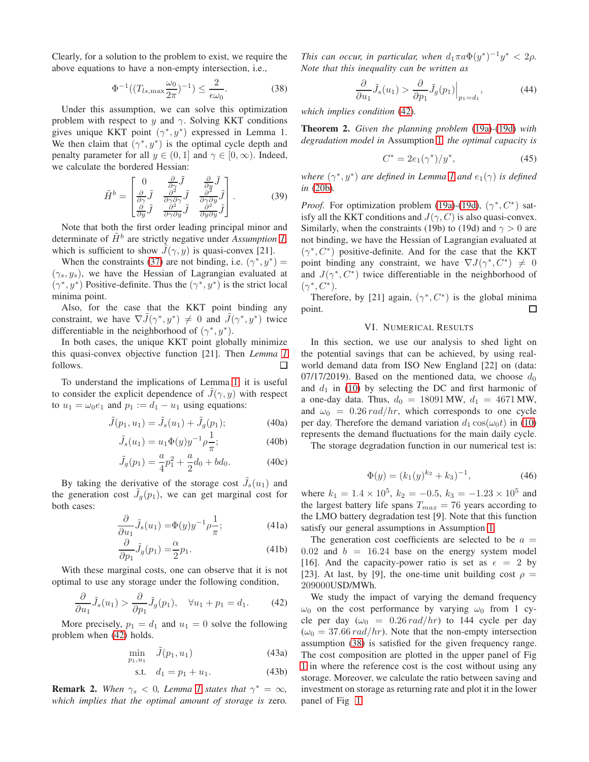Clearly, for a solution to the problem to exist, we require the above equations to have a non-empty intersection, i.e.,

$$
\Phi^{-1}((T_{ls,\max}\frac{\omega_0}{2\pi})^{-1}) \le \frac{2}{\epsilon\omega_0}.
$$
 (38)

Under this assumption, we can solve this optimization problem with respect to y and  $\gamma$ . Solving KKT conditions gives unique KKT point  $(\gamma^*, y^*)$  expressed in Lemma 1. We then claim that  $(\gamma^*, y^*)$  is the optimal cycle depth and penalty parameter for all  $y \in (0, 1]$  and  $\gamma \in [0, \infty)$ . Indeed, we calculate the bordered Hessian:

$$
\tilde{H}^{b} = \begin{bmatrix} 0 & \frac{\partial}{\partial \gamma} \tilde{J} & \frac{\partial}{\partial y} \tilde{J} \\ \frac{\partial}{\partial \gamma} \tilde{J} & \frac{\partial^{2}}{\partial \gamma \partial \gamma} \tilde{J} & \frac{\partial^{2}}{\partial \gamma \partial y} \tilde{J} \\ \frac{\partial}{\partial y} \tilde{J} & \frac{\partial^{2}}{\partial \gamma \partial y} \tilde{J} & \frac{\partial^{2}}{\partial y \partial y} \tilde{J} \end{bmatrix}.
$$
 (39)

Note that both the first order leading principal minor and determinate of  $\tilde{H}^b$  are strictly negative under *Assumption [1](#page-4-4)*, which is sufficient to show  $J(\gamma, y)$  is quasi-convex [21].

When the constraints [\(37\)](#page-4-5) are not binding, i.e.  $(\gamma^*, y^*)$  =  $(\gamma_s, y_s)$ , we have the Hessian of Lagrangian evaluated at  $(\gamma^*, y^*)$  Positive-definite. Thus the  $(\gamma^*, y^*)$  is the strict local minima point.

Also, for the case that the KKT point binding any constraint, we have  $\nabla \tilde{J}(\gamma^*, y^*) \neq 0$  and  $\tilde{J}(\gamma^*, y^*)$  twice differentiable in the neighborhood of  $(\gamma^*, y^*)$ .

In both cases, the unique KKT point globally minimize this quasi-convex objective function [21]. Then *Lemma [1](#page-4-6)* follows.  $\Box$ 

To understand the implications of Lemma [1,](#page-4-6) it is useful to consider the explicit dependence of  $J(\gamma, y)$  with respect to  $u_1 = \omega_0 e_1$  and  $p_1 := d_1 - u_1$  using equations:

$$
\tilde{J}(p_1, u_1) = \tilde{J}_s(u_1) + \tilde{J}_g(p_1); \tag{40a}
$$

$$
\tilde{J}_s(u_1) = u_1 \Phi(y) y^{-1} \rho \frac{1}{\pi};
$$
\n(40b)

$$
\tilde{J}_g(p_1) = \frac{a}{4}p_1^2 + \frac{a}{2}d_0 + bd_0.
$$
 (40c)

By taking the derivative of the storage cost  $\tilde{J}_s(u_1)$  and the generation cost  $\tilde{J}_g(p_1)$ , we can get marginal cost for both cases:

$$
\frac{\partial}{\partial u_1} \tilde{J}_s(u_1) = \Phi(y) y^{-1} \rho \frac{1}{\pi};\tag{41a}
$$

$$
\frac{\partial}{\partial p_1} \tilde{J}_g(p_1) = \frac{\alpha}{2} p_1.
$$
\n(41b)

With these marginal costs, one can observe that it is not optimal to use any storage under the following condition,

$$
\frac{\partial}{\partial u_1}\tilde{J}_s(u_1) > \frac{\partial}{\partial p_1}\tilde{J}_g(p_1), \quad \forall u_1 + p_1 = d_1. \tag{42}
$$

More precisely,  $p_1 = d_1$  and  $u_1 = 0$  solve the following problem when [\(42\)](#page-5-1) holds.

$$
\min_{p_1, u_1} \quad \tilde{J}(p_1, u_1) \tag{43a}
$$

s.t. 
$$
d_1 = p_1 + u_1.
$$
 (43b)

**Remark 2.** When  $\gamma_s < 0$ , Lemma [1](#page-4-6) states that  $\gamma^* = \infty$ , *which implies that the optimal amount of storage is* zero*.*

*This can occur, in particular, when*  $d_1 \pi a \Phi(y^*)^{-1} y^* < 2\rho$ . *Note that this inequality can be written as*

$$
\frac{\partial}{\partial u_1} \tilde{J}_s(u_1) > \frac{\partial}{\partial p_1} \tilde{J}_g(p_1) \Big|_{p_1 = d_1},\tag{44}
$$

<span id="page-5-2"></span>*which implies condition* [\(42\)](#page-5-1)*.*

Theorem 2. *Given the planning problem* [\(19a\)](#page-3-13)*-*[\(19d\)](#page-3-14) *with degradation model in* Assumption [1](#page-4-4)*, the optimal capacity is*

$$
C^* = 2e_1(\gamma^*)/y^*,\tag{45}
$$

where  $(\gamma^*, y^*)$  are defined in Lemma [1](#page-4-6) and  $e_1(\gamma)$  is defined *in* [\(20b\)](#page-3-16)*.*

*Proof.* For optimization problem [\(19a\)](#page-3-13)-[\(19d\)](#page-3-14),  $(\gamma^*, C^*)$  satisfy all the KKT conditions and  $J(\gamma, C)$  is also quasi-convex. Similarly, when the constraints (19b) to (19d) and  $\gamma > 0$  are not binding, we have the Hessian of Lagrangian evaluated at  $(\gamma^*, C^*)$  positive-definite. And for the case that the KKT point binding any constraint, we have  $\nabla J(\gamma^*, C^*) \neq 0$ and  $J(\gamma^*, C^*)$  twice differentiable in the neighborhood of  $(\gamma^*, C^*).$ 

<span id="page-5-0"></span>Therefore, by [21] again,  $(\gamma^*, C^*)$  is the global minima point. □

## VI. NUMERICAL RESULTS

In this section, we use our analysis to shed light on the potential savings that can be achieved, by using realworld demand data from ISO New England [22] on (data: 07/17/2019). Based on the mentioned data, we choose  $d_0$ and  $d_1$  in [\(10\)](#page-2-3) by selecting the DC and first harmonic of a one-day data. Thus,  $d_0 = 18091 \text{ MW}, d_1 = 4671 \text{ MW},$ and  $\omega_0 = 0.26 \, rad/hr$ , which corresponds to one cycle per day. Therefore the demand variation  $d_1 \cos(\omega_0 t)$  in [\(10\)](#page-2-3) represents the demand fluctuations for the main daily cycle.

The storage degradation function in our numerical test is:

$$
\Phi(y) = (k_1(y)^{k_2} + k_3)^{-1},\tag{46}
$$

where  $k_1 = 1.4 \times 10^5$ ,  $k_2 = -0.5$ ,  $k_3 = -1.23 \times 10^5$  and the largest battery life spans  $T_{max} = 76$  years according to the LMO battery degradation test [9]. Note that this function satisfy our general assumptions in Assumption [1.](#page-4-4)

The generation cost coefficients are selected to be  $a =$  $0.02$  and  $b = 16.24$  base on the energy system model [16]. And the capacity-power ratio is set as  $\epsilon = 2$  by [23]. At last, by [9], the one-time unit building cost  $\rho =$ 209000USD/MWh.

<span id="page-5-1"></span>We study the impact of varying the demand frequency  $\omega_0$  on the cost performance by varying  $\omega_0$  from 1 cycle per day ( $\omega_0 = 0.26 \, rad/hr$ ) to 144 cycle per day  $(\omega_0 = 37.66 \, rad/hr)$ . Note that the non-empty intersection assumption [\(38\)](#page-5-2) is satisfied for the given frequency range. The cost composition are plotted in the upper panel of Fig [1](#page-6-1) in where the reference cost is the cost without using any storage. Moreover, we calculate the ratio between saving and investment on storage as returning rate and plot it in the lower panel of Fig [1.](#page-6-1)